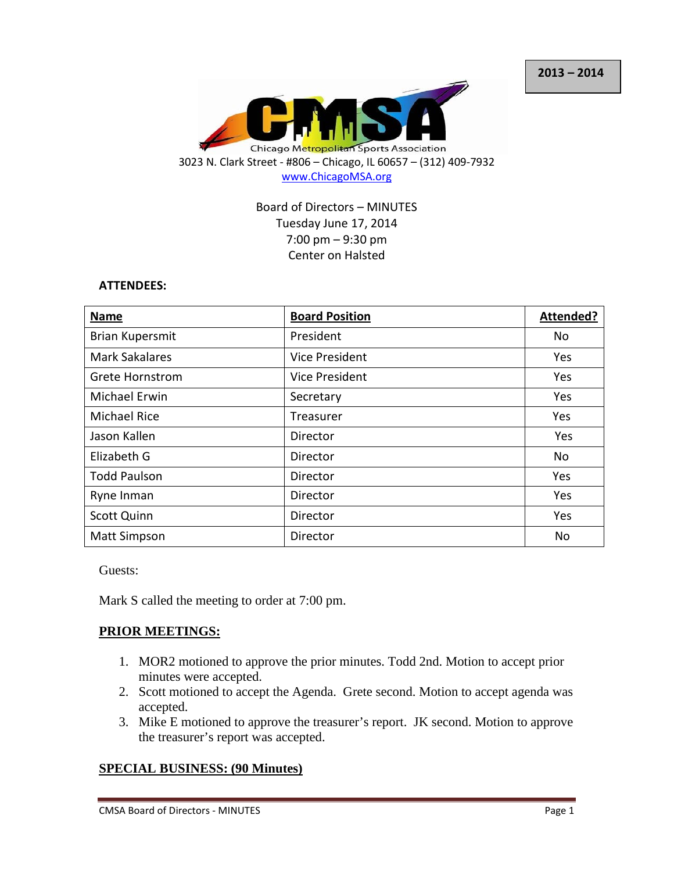

Board of Directors – MINUTES Tuesday June 17, 2014 7:00 pm – 9:30 pm Center on Halsted

### **ATTENDEES:**

| Name                   | <b>Board Position</b> | <b>Attended?</b> |
|------------------------|-----------------------|------------------|
| Brian Kupersmit        | President             | No               |
| <b>Mark Sakalares</b>  | <b>Vice President</b> | Yes              |
| <b>Grete Hornstrom</b> | Vice President        | Yes              |
| Michael Erwin          | Secretary             | Yes              |
| <b>Michael Rice</b>    | Treasurer             | Yes              |
| Jason Kallen           | Director              | Yes              |
| Elizabeth G            | Director              | No               |
| <b>Todd Paulson</b>    | Director              | Yes              |
| Ryne Inman             | Director              | Yes              |
| <b>Scott Quinn</b>     | Director              | Yes              |
| <b>Matt Simpson</b>    | Director              | No               |

Guests:

Mark S called the meeting to order at 7:00 pm.

## **PRIOR MEETINGS:**

- 1. MOR2 motioned to approve the prior minutes. Todd 2nd. Motion to accept prior minutes were accepted.
- 2. Scott motioned to accept the Agenda. Grete second. Motion to accept agenda was accepted.
- 3. Mike E motioned to approve the treasurer's report. JK second. Motion to approve the treasurer's report was accepted.

## **SPECIAL BUSINESS: (90 Minutes)**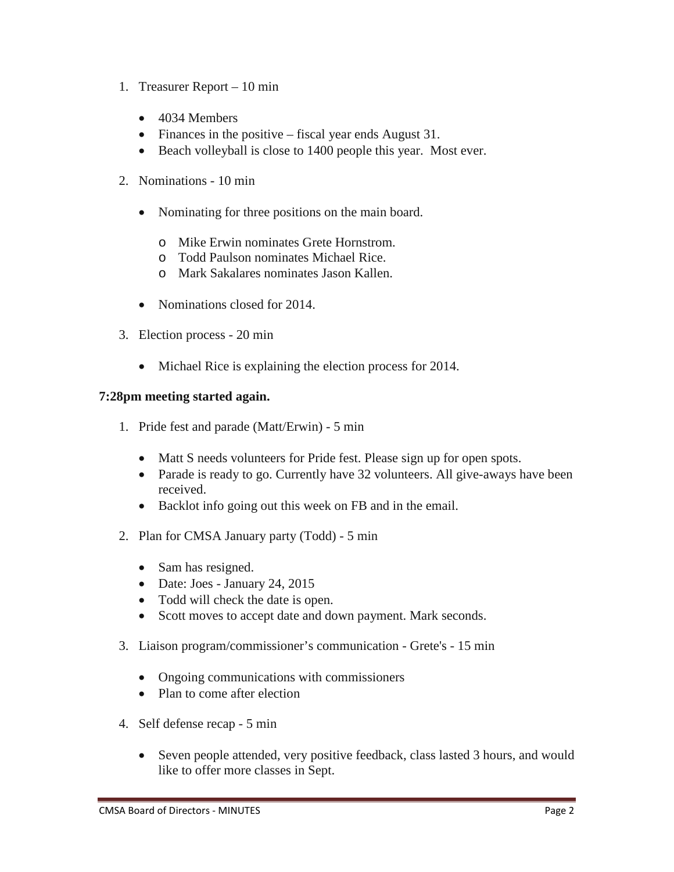- 1. Treasurer Report 10 min
	- 4034 Members
	- Finances in the positive fiscal year ends August 31.
	- Beach volleyball is close to 1400 people this year. Most ever.
- 2. Nominations 10 min
	- Nominating for three positions on the main board.
		- o Mike Erwin nominates Grete Hornstrom.
		- o Todd Paulson nominates Michael Rice.
		- o Mark Sakalares nominates Jason Kallen.
	- Nominations closed for 2014.
- 3. Election process 20 min
	- Michael Rice is explaining the election process for 2014.

## **7:28pm meeting started again.**

- 1. Pride fest and parade (Matt/Erwin) 5 min
	- Matt S needs volunteers for Pride fest. Please sign up for open spots.
	- Parade is ready to go. Currently have 32 volunteers. All give-aways have been received.
	- Backlot info going out this week on FB and in the email.
- 2. Plan for CMSA January party (Todd) 5 min
	- Sam has resigned.
	- Date: Joes January 24, 2015
	- Todd will check the date is open.
	- Scott moves to accept date and down payment. Mark seconds.
- 3. Liaison program/commissioner's communication Grete's 15 min
	- Ongoing communications with commissioners
	- Plan to come after election
- 4. Self defense recap 5 min
	- Seven people attended, very positive feedback, class lasted 3 hours, and would like to offer more classes in Sept.